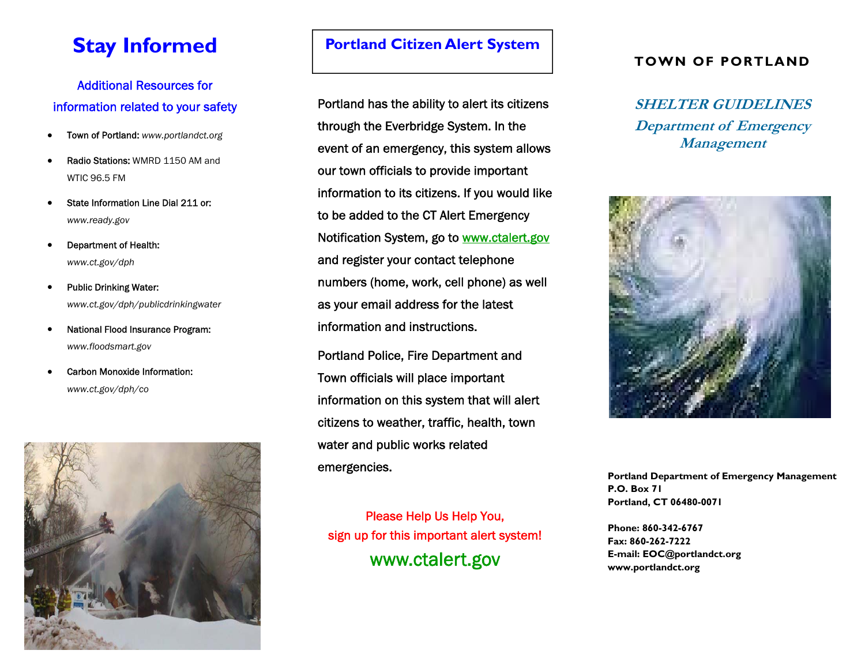## **Stay Informed**

## Additional Resources for information related to your safety

- $\bullet$ Town of Portland: *www.portlandct.org*
- $\bullet$  Radio Stations: WMRD 1150 AM and WTIC 96.5 FM
- $\bullet$  State Information Line Dial 211 or: *www.ready.gov*
- $\bullet$  Department of Health: *www.ct.gov/dph*
- $\bullet$  Public Drinking Water: *www.ct.gov/dph/publicdrinkingwater*
- $\bullet$  National Flood Insurance Program: *www.floodsmart.gov*
- $\bullet$  Carbon Monoxide Information: *www.ct.gov/dph/co*



### **Portland Citizen Alert System**

Portland has the ability to alert its citizens through the Everbridge System. In the event of an emergency, this system allows our town officials to provide important information to its citizens. If you would like to be added to the CT Alert Emergency Notification System, go to www.ctalert.gov and register your contact telephone numbers (home, work, cell phone) as well as your email address for the latest information and instructions.

Portland Police, Fire Department and Town officials will place important information on this system that will alert citizens to weather, traffic, health, town water and public works related emergencies.

Please Help Us Help You, sign up for this important alert system! www.ctalert.gov

#### **TOWN OF PORTLAND**

**SHELTER GUIDELINES Department of Emergency Management** 



**Portland Department of Emergency Management P.O. Box 71 Portland, CT 06480-0071** 

**Phone: 860-342-6767 Fax: 860-262-7222 E-mail: EOC@portlandct.org www.portlandct.org**